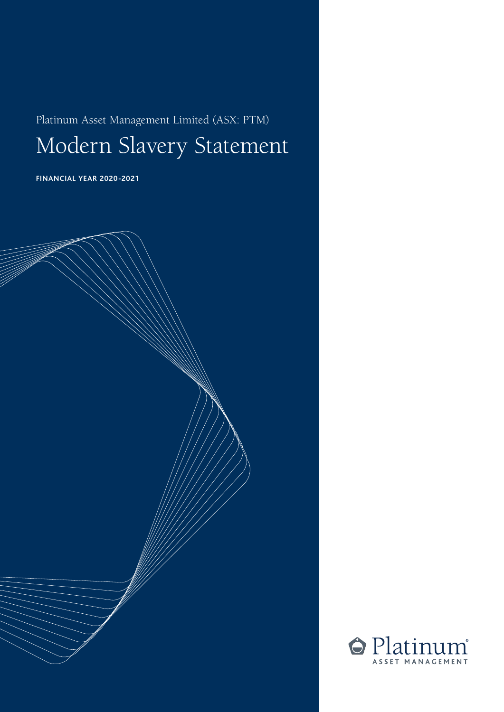Platinum Asset Management Limited (ASX: PTM)

Modern Slavery Statement

**FINANCIAL YEAR 2020-2021**



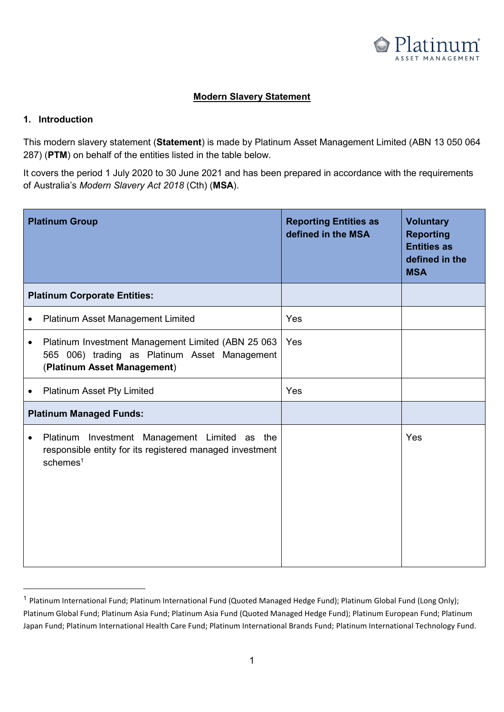

## **Modern Slavery Statement**

#### **1. Introduction**

This modern slavery statement (**Statement**) is made by Platinum Asset Management Limited (ABN 13 050 064 287) (PTM) on behalf of the entities listed in the table below.

It covers the period 1 July 2020 to 30 June 2021 and has been prepared in accordance with the requirements of Australia's *Modern Slavery Act 2018* (Cth) (**MSA**).

|                                     | <b>Platinum Group</b>                                                                                                                | <b>Reporting Entities as</b><br>defined in the MSA | <b>Voluntary</b><br><b>Reporting</b><br><b>Entities as</b><br>defined in the<br><b>MSA</b> |
|-------------------------------------|--------------------------------------------------------------------------------------------------------------------------------------|----------------------------------------------------|--------------------------------------------------------------------------------------------|
| <b>Platinum Corporate Entities:</b> |                                                                                                                                      |                                                    |                                                                                            |
|                                     | Platinum Asset Management Limited                                                                                                    | Yes                                                |                                                                                            |
| $\bullet$                           | Platinum Investment Management Limited (ABN 25 063<br>565 006) trading as Platinum Asset Management<br>(Platinum Asset Management)   | Yes                                                |                                                                                            |
|                                     | Platinum Asset Pty Limited                                                                                                           | Yes                                                |                                                                                            |
| <b>Platinum Managed Funds:</b>      |                                                                                                                                      |                                                    |                                                                                            |
| ٠                                   | Platinum Investment Management Limited as the<br>responsible entity for its registered managed investment<br>$s$ chemes <sup>1</sup> |                                                    | Yes                                                                                        |

<sup>&</sup>lt;sup>1</sup> Platinum International Fund; Platinum International Fund (Quoted Managed Hedge Fund); Platinum Global Fund (Long Only); Platinum Global Fund; Platinum Asia Fund; Platinum Asia Fund (Quoted Managed Hedge Fund); Platinum European Fund; Platinum Japan Fund; Platinum International Health Care Fund; Platinum International Brands Fund; Platinum International Technology Fund.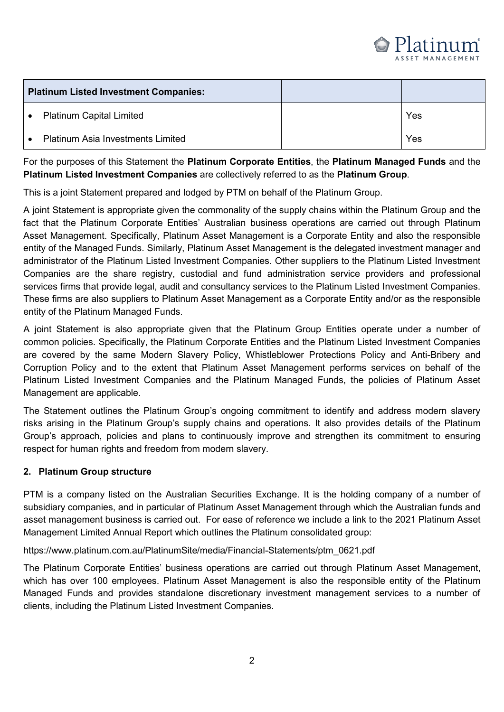

| <b>Platinum Listed Investment Companies:</b> |                                          |     |
|----------------------------------------------|------------------------------------------|-----|
| $\bullet$                                    | <b>Platinum Capital Limited</b>          | Yes |
|                                              | <b>Platinum Asia Investments Limited</b> | Yes |

For the purposes of this Statement the **Platinum Corporate Entities**, the **Platinum Managed Funds** and the **Platinum Listed Investment Companies** are collectively referred to as the **Platinum Group**. Platinum Asia Investments Limited Yes

This is a joint Statement prepared and lodged by PTM on behalf of the Platinum Group.

A joint Statement is appropriate given the commonality of the supply chains within the Platinum Group and the fact that the Platinum Corporate Entities' Australian business operations are carried out through Platinum Asset Management. Specifically, Platinum Asset Management is a Corporate Entity and also the responsible entity of the Managed Funds. Similarly, Platinum Asset Management is the delegated investment manager and administrator of the Platinum Listed Investment Companies. Other suppliers to the Platinum Listed Investment Companies are the share registry, custodial and fund administration service providers and professional services firms that provide legal, audit and consultancy services to the Platinum Listed Investment Companies. These firms are also suppliers to Platinum Asset Management as a Corporate Entity and/or as the responsible entity of the Platinum Managed Funds. These firms are also suppliers to plant as a corporate Entity and  $\epsilon$ 

A joint Statement is also appropriate given that the Platinum Group Entities operate under a number of common policies. Specifically, the Platinum Corporate Entities and the Platinum Listed Investment Companies are covered by the same Modern Slavery Policy, Whistleblower Protections Policy and Anti-Bribery and Corruption Policy and to the extent that Platinum Asset Management performs services on behalf of the Platinum Listed Investment Companies and the Platinum Managed Funds, the policies of Platinum Asset Management are applicable. The Platinum Asset mental of Platinum Management Companies of Platinum Asset mental

The Statement outlines the Platinum Group's ongoing commitment to identify and address modern slavery risks arising in the Platinum Group's supply chains and operations. It also provides details of the Platinum Group's approach, policies and plans to continuously improve and strengthen its commitment to ensuring respect for human rights and freedom from modern slavery.

#### **2. Platinum Group structure**

PTM is a company listed on the Australian Securities Exchange. It is the holding company of a number of subsidiary companies, and in particular of Platinum Asset Management through which the Australian funds and asset management business is carried out. For ease of reference we include a link to the 2021 Platinum Asset Management Limited Annual Report which outlines the Platinum consolidated group:

https://www.platinum.com.au/PlatinumSite/media/Financial-Statements/ptm\_0621.pdf

The Platinum Corporate Entities' business operations are carried out through Platinum Asset Management, which has over 100 employees. Platinum Asset Management is also the responsible entity of the Platinum Managed Funds and provides standalone discretionary investment management services to a number of clients, including the Platinum Listed Investment Companies.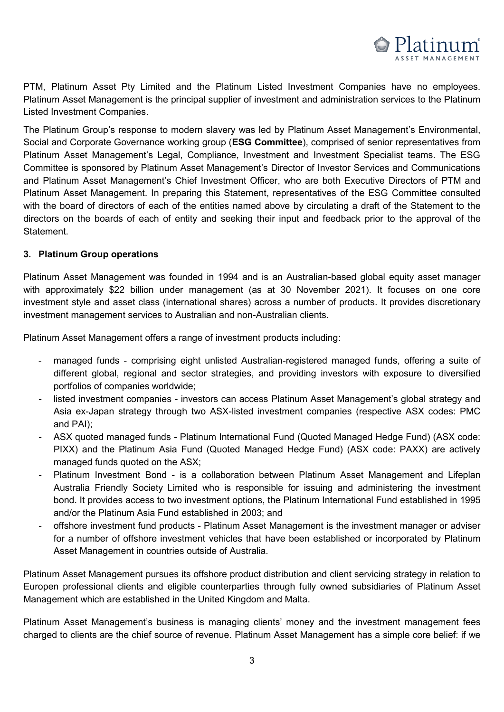

PTM, Platinum Asset Pty Limited and the Platinum Listed Investment Companies have no employees. Platinum Asset Management is the principal supplier of investment and administration services to the Platinum Listed Investment Companies. The principal supplier of investment and administration services to the Platinum Asset Management and administration services to the Platinum Asset Management and administration services to the

The Platinum Group's response to modern slavery was led by Platinum Asset Management's Environmental, Social and Corporate Governance working group (**ESG Committee**), comprised of senior representatives from Platinum Asset Management's Legal, Compliance, Investment and Investment Specialist teams. The ESG Committee is sponsored by Platinum Asset Management's Director of Investor Services and Communications and Platinum Asset Management's Chief Investment Officer, who are both Executive Directors of PTM and Platinum Asset Management. In preparing this Statement, representatives of the ESG Committee consulted with the board of directors of each of the entities named above by circulating a draft of the Statement to the directors on the boards of each of entity and seeking their input and feedback prior to the approval of the Statement. directors on the boards of each of entity and seeking their input and feedback prior to the approval of the approval of the approval of the approval of the approval of the approval of the approval of the approval of the ap

### **3. Platinum Group operations**

Platinum Asset Management was founded in 1994 and is an Australian-based global equity asset manager with approximately \$22 billion under management (as at 30 November 2021). It focuses on one core investment style and asset class (international shares) across a number of products. It provides discretionary investment management services to Australian and non-Australian clients. **3. Platinum Group operations**

Platinum Asset Management offers a range of investment products including:

- managed funds comprising eight unlisted Australian-registered managed funds, offering a suite of different global, regional and sector strategies, and providing investors with exposure to diversified portfolios of companies worldwide; and sector strategies, and providing investors with exposure to diversified
- listed investment companies investors can access Platinum Asset Management's global strategy and Asia ex-Japan strategy through two ASX-listed investment companies (respective ASX codes: PMC and PAI); and PAI);  $\mathcal{L}(\mathcal{A})$
- ASX quoted managed funds Platinum International Fund (Quoted Managed Hedge Fund) (ASX code: PIXX) and the Platinum Asia Fund (Quoted Managed Hedge Fund) (ASX code: PAXX) are actively managed funds quoted on the ASX; and the example  $\mathcal{L}$  are actively are actively are actively are actively are actively are actively are actively are actively are actively are actively are actively as  $\mathcal{L}$
- Platinum Investment Bond is a collaboration between Platinum Asset Management and Lifeplan Australia Friendly Society Limited who is responsible for issuing and administering the investment bond. It provides access to two investment options, the Platinum International Fund established in 1995 and/or the Platinum Asia Fund established in 2003; and
- offshore investment fund products Platinum Asset Management is the investment manager or adviser for a number of offshore investment vehicles that have been established or incorporated by Platinum Asset Management in countries outside of Australia.

Platinum Asset Management pursues its offshore product distribution and client servicing strategy in relation to Europen professional clients and eligible counterparties through fully owned subsidiaries of Platinum Asset Management which are established in the United Kingdom and Malta.

Platinum Asset Management's business is managing clients' money and the investment management fees charged to clients are the chief source of revenue. Platinum Asset Management has a simple core belief: if we Management which are established in the United Kingdom and Malta.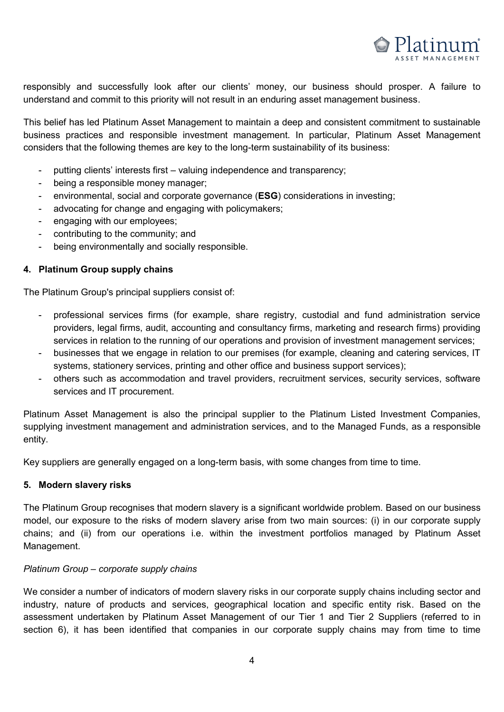

responsibly and successfully look after our clients' money, our business should prosper. A failure to understand and commit to this priority will not result in an enduring asset management business.

This belief has led Platinum Asset Management to maintain a deep and consistent commitment to sustainable business practices and responsible investment management. In particular, Platinum Asset Management considers that the following themes are key to the long-term sustainability of its business:

- putting clients' interests first valuing independence and transparency;
- being a responsible money manager;
- environmental, social and corporate governance (**ESG**) considerations in investing;
- advocating for change and engaging with policymakers;
- engaging with our employees;
- contributing to the community; and
- being environmentally and socially responsible.

### **4. Platinum Group supply chains**

The Platinum Group's principal suppliers consist of: **4. Platinum Group supply chains**

- professional services firms (for example, share registry, custodial and fund administration service providers, legal firms, audit, accounting and consultancy firms, marketing and research firms) providing services in relation to the running of our operations and provision of investment management services;
- businesses that we engage in relation to our premises (for example, cleaning and catering services, IT systems, stationery services, printing and other office and business support services);
- others such as accommodation and travel providers, recruitment services, security services, software services and IT procurement. The such as accommodation and travel providers, recruitment services, social providers, social providers, social providers, social providers, social providers, social providers, social provider

Platinum Asset Management is also the principal supplier to the Platinum Listed Investment Companies, supplying investment management and administration services, and to the Managed Funds, as a responsible entity.  $s$  supplying investment and administration services, and to the Managed Funds, and to the Managed Funds, as a responsible  $s$ 

Key suppliers are generally engaged on a long-term basis, with some changes from time to time.

#### **5. Modern slavery risks**

The Platinum Group recognises that modern slavery is a significant worldwide problem. Based on our business model, our exposure to the risks of modern slavery arise from two main sources: (i) in our corporate supply chains; and (ii) from our operations i.e. within the investment portfolios managed by Platinum Asset Management. **5. Modern slavery risks**  $\mathsf{Management}\text{.}$  from our operations i.e. with the investment portfolios management portfolios managed by  $\mathsf{P}$ 

#### *Platinum Group – corporate supply chains*

We consider a number of indicators of modern slavery risks in our corporate supply chains including sector and industry, nature of products and services, geographical location and specific entity risk. Based on the assessment undertaken by Platinum Asset Management of our Tier 1 and Tier 2 Suppliers (referred to in section 6), it has been identified that companies in our corporate supply chains may from time to time *Platinum Group – corporate supply chains*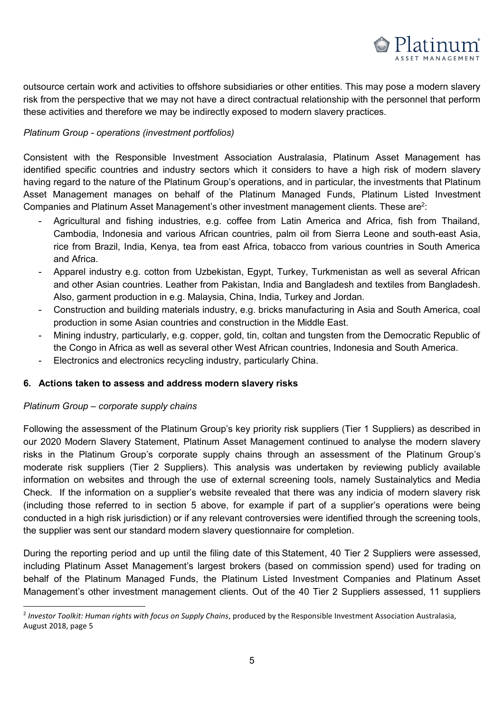

outsource certain work and activities to offshore subsidiaries or other entities. This may pose a modern slavery risk from the perspective that we may not have a direct contractual relationship with the personnel that perform these activities and therefore we may be indirectly exposed to modern slavery practices.

#### *Platinum Group - operations (investment portfolios)*  $\theta$  at  $\theta$  activities and therefore we may be indirected to  $\theta$  and  $\theta$  and  $\theta$  and  $\theta$  and  $\theta$  and  $\theta$  and  $\theta$  and  $\theta$  and  $\theta$  and  $\theta$  and  $\theta$  and  $\theta$  and  $\theta$  and  $\theta$  and  $\theta$  and  $\theta$  and  $\theta$  and  $\theta$  a

Consistent with the Responsible Investment Association Australasia, Platinum Asset Management has identified specific countries and industry sectors which it considers to have a high risk of modern slavery having regard to the nature of the Platinum Group's operations, and in particular, the investments that Platinum Asset Management manages on behalf of the Platinum Managed Funds, Platinum Listed Investment Companies and Platinum Asset Management's other investment management clients. These are<sup>2</sup>:

- Agricultural and fishing industries, e.g. coffee from Latin America and Africa, fish from Thailand, Cambodia, Indonesia and various African countries, palm oil from Sierra Leone and south-east Asia, rice from Brazil, India, Kenya, tea from east Africa, tobacco from various countries in South America and Africa. rice from Brazil, India, India, Kenya, tea from east Africa, tobacco from various countries in South America,
	- Apparel industry e.g. cotton from Uzbekistan, Egypt, Turkey, Turkmenistan as well as several African and other Asian countries. Leather from Pakistan, India and Bangladesh and textiles from Bangladesh. Also, garment production in e.g. Malaysia, China, India, Turkey and Jordan.
	- Construction and building materials industry, e.g. bricks manufacturing in Asia and South America, coal production in some Asian countries and construction in the Middle East.
	- Mining industry, particularly, e.g. copper, gold, tin, coltan and tungsten from the Democratic Republic of the Congo in Africa as well as several other West African countries, Indonesia and South America.
	- Electronics and electronics recycling industry, particularly China.

#### **6. Actions taken to assess and address modern slavery risks**

#### *Platinum Group – corporate supply chains*

-

Following the assessment of the Platinum Group's key priority risk suppliers (Tier 1 Suppliers) as described in our 2020 Modern Slavery Statement, Platinum Asset Management continued to analyse the modern slavery risks in the Platinum Group's corporate supply chains through an assessment of the Platinum Group's moderate risk suppliers (Tier 2 Suppliers). This analysis was undertaken by reviewing publicly available information on websites and through the use of external screening tools, namely Sustainalytics and Media Check. If the information on a supplier's website revealed that there was any indicia of modern slavery risk (including those referred to in section 5 above, for example if part of a supplier's operations were being conducted in a high risk jurisdiction) or if any relevant controversies were identified through the screening tools, the supplier was sent our standard modern slavery questionnaire for completion.

During the reporting period and up until the filing date of this statement, 40 Tier 2 Suppliers were assessed, including Platinum Asset Management's largest brokers (based on commission spend) used for trading on behalf of the Platinum Managed Funds, the Platinum Listed Investment Companies and Platinum Asset Management's other investment management clients. Out of the 40 Tier 2 Suppliers assessed, 11 suppliers S

Management  $\mathcal{A}$  other investment management clients. Out of the 40 Tier 2 Suppliers assessed, 11 suppliers assessed, 11 suppliers assessed, 11 suppliers assessed, 11 suppliers assessed, 11 suppliers assessed, 11 suppl

<sup>2</sup> *Investor Toolkit: Human rights with focus on Supply Chains*, produced by the Responsible Investment Association Australasia, August 2018, page 5 <sup>2</sup> *Investor Toolkit: Human rights with focus on Supply Chains*, produced by the Responsible Investment Association Australasia,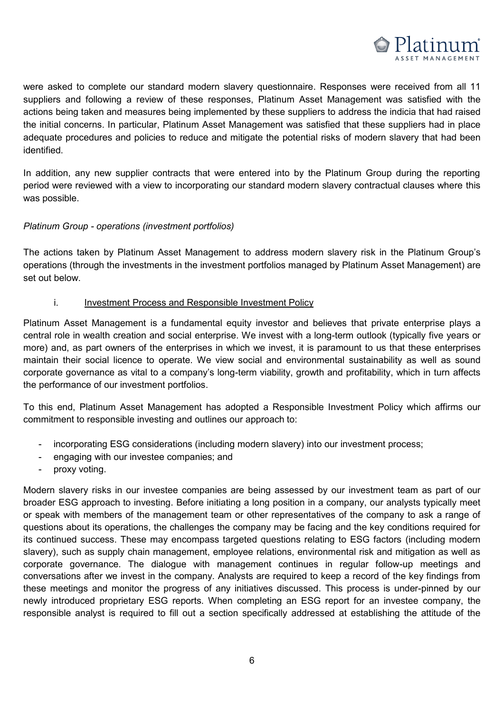

were asked to complete our standard modern slavery questionnaire. Responses were received from all 11 suppliers and following a review of these responses, Platinum Asset Management was satisfied with the actions being taken and measures being implemented by these suppliers to address the indicia that had raised the initial concerns. In particular, Platinum Asset Management was satisfied that these suppliers had in place adequate procedures and policies to reduce and mitigate the potential risks of modern slavery that had been identified. adentified. And policies to reduce and mitigate the policies to reduce and mitigate the policies of modern slavery that had been positive that had been policies that had been positive that had been policies of modern slave

In addition, any new supplier contracts that were entered into by the Platinum Group during the reporting period were reviewed with a view to incorporating our standard modern slavery contractual clauses where this was possible.  $\epsilon$  was possible. We review to incorporating our standard modern slavery contractual clauses where this contractual clauses where this contractual clauses where this contractual clauses where the contractual clauses wher

#### *Platinum Group - operations (investment portfolios)*

The actions taken by Platinum Asset Management to address modern slavery risk in the Platinum Group's operations (through the investments in the investment portfolios managed by Platinum Asset Management) are set out below. operations (through the investments in the investment portfolios management) are presented by Platinum Asset Management (through the investment) are presented by Platinum Asset Management (through the investment) are prese

#### i. Investment Process and Responsible Investment Policy

Platinum Asset Management is a fundamental equity investor and believes that private enterprise plays a central role in wealth creation and social enterprise. We invest with a long-term outlook (typically five years or more) and, as part owners of the enterprises in which we invest, it is paramount to us that these enterprises maintain their social licence to operate. We view social and environmental sustainability as well as sound corporate governance as vital to a company's long-term viability, growth and profitability, which in turn affects the performance of our investment portfolios. The and profitability of a company of the performance of our investment portfolios. i. Investment Process and Responsible Investment Policy

To this end, Platinum Asset Management has adopted a Responsible Investment Policy which affirms our commitment to responsible investing and outlines our approach to: the performance of our investment portfolios.

- incorporating ESG considerations (including modern slavery) into our investment process;
- engaging with our investee companies; and
- engaging with our invested companies; and in vested companies; and investigation of  $\mathbb{R}^n$

Modern slavery risks in our investee companies are being assessed by our investment team as part of our broader ESG approach to investing. Before initiating a long position in a company, our analysts typically meet or speak with members of the management team or other representatives of the company to ask a range of questions about its operations, the challenges the company may be facing and the key conditions required for its continued success. These may encompass targeted questions relating to ESG factors (including modern slavery), such as supply chain management, employee relations, environmental risk and mitigation as well as corporate governance. The dialogue with management continues in regular follow-up meetings and conversations after we invest in the company. Analysts are required to keep a record of the key findings from these meetings and monitor the progress of any initiatives discussed. This process is under-pinned by our newly introduced proprietary ESG reports. When completing an ESG report for an investee company, the responsible analyst is required to fill out a section specifically addressed at establishing the attitude of the - proxy voting.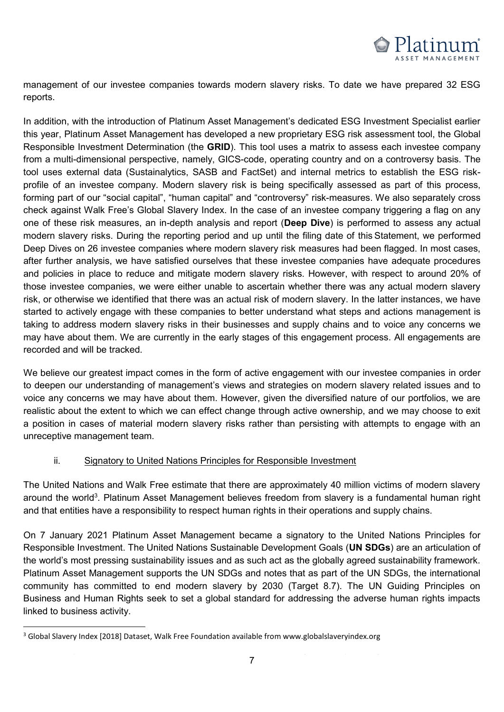

management of our investee companies towards modern slavery risks. To date we have prepared 32 ESG reports. management of our investee companies towards modern slavery risks. To date we have prepared 32 ESG

In addition, with the introduction of Platinum Asset Management's dedicated ESG Investment Specialist earlier this year, Platinum Asset Management has developed a new proprietary ESG risk assessment tool, the Global Responsible Investment Determination (the GRID). This tool uses a matrix to assess each investee company from a multi-dimensional perspective, namely, GICS-code, operating country and on a controversy basis. The tool uses external data (Sustainalytics, SASB and FactSet) and internal metrics to establish the ESG riskprofile of an investee company. Modern slavery risk is being specifically assessed as part of this process, forming part of our "social capital", "human capital" and "controversy" risk-measures. We also separately cross check against Walk Free's Global Slavery Index. In the case of an investee company triggering a flag on any one of these risk measures, an in-depth analysis and report (**Deep Dive**) is performed to assess any actual modern slavery risks. During the reporting period and up until the filing date of this Statement, we performed Deep Dives on 26 investee companies where modern slavery risk measures had been flagged. In most cases, after further analysis, we have satisfied ourselves that these investee companies have adequate procedures and policies in place to reduce and mitigate modern slavery risks. However, with respect to around 20% of those investee companies, we were either unable to ascertain whether there was any actual modern slavery risk, or otherwise we identified that there was an actual risk of modern slavery. In the latter instances, we have started to actively engage with these companies to better understand what steps and actions management is taking to address modern slavery risks in their businesses and supply chains and to voice any concerns we may have about them. We are currently in the early stages of this engagement process. All engagements are may have about the method. We are currently in the early stages of this engagement process. All engagements are currently in the early stages of this engagement process. All engagements are considered as  $\alpha$ 

We believe our greatest impact comes in the form of active engagement with our investee companies in order to deepen our understanding of management's views and strategies on modern slavery related issues and to voice any concerns we may have about them. However, given the diversified nature of our portfolios, we are realistic about the extent to which we can effect change through active ownership, and we may choose to exit a position in cases of material modern slavery risks rather than persisting with attempts to engage with an unreceptive management team. **Example 1986** of material modern slavery risks rather than persisting with a set on the set of material modern slavery risks rather than persisting with an expected with an expected with an ex

#### ii. Signatory to United Nations Principles for Responsible Investment

The United Nations and Walk Free estimate that there are approximately 40 million victims of modern slavery around the world<sup>3</sup>. Platinum Asset Management believes freedom from slavery is a fundamental human right and that entities have a responsibility to respect human rights in their operations and supply chains.

On 7 January 2021 Platinum Asset Management became a signatory to the United Nations Principles for Responsible Investment. The United Nations Sustainable Development Goals (**UN SDGs**) are an articulation of the world's most pressing sustainability issues and as such act as the globally agreed sustainability framework. Platinum Asset Management supports the UN SDGs and notes that as part of the UN SDGs, the international community has committed to end modern slavery by 2030 (Target 8.7). The UN Guiding Principles on Business and Human Rights seek to set a global standard for addressing the adverse human rights impacts linked to business activity. The addressing seek to see a global standard for addressing the adverse human rights impacts in  $\mathbb{R}^n$ 

 $\overline{a}$ 

linked to business activity.

 $3$  Global Slavery Index [2018] Dataset, Walk Free Foundation available from www.globalslaveryindex.org <sup>3</sup> Global Slavery Index [2018] Dataset, Walk Free Foundation available from www.globalslaveryindex.org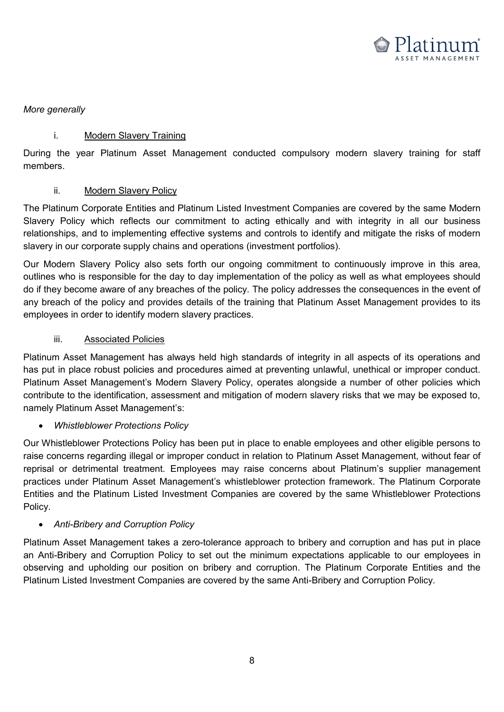

#### *More generally*

#### i. Modern Slavery Training

During the year Platinum Asset Management conducted compulsory modern slavery training for staff members.  $\blacksquare$ During the year  $P$   $\blacksquare$ 

#### ii. Modern Slavery Policy

The Platinum Corporate Entities and Platinum Listed Investment Companies are covered by the same Modern Slavery Policy which reflects our commitment to acting ethically and with integrity in all our business relationships, and to implementing effective systems and controls to identify and mitigate the risks of modern slavery in our corporate supply chains and operations (investment portfolios).

Our Modern Slavery Policy also sets forth our ongoing commitment to continuously improve in this area, outlines who is responsible for the day to day implementation of the policy as well as what employees should do if they become aware of any breaches of the policy. The policy addresses the consequences in the event of any breach of the policy and provides details of the training that Platinum Asset Management provides to its employees in order to identify modern slavery practices.

### iii. Associated Policies

Platinum Asset Management has always held high standards of integrity in all aspects of its operations and has put in place robust policies and procedures aimed at preventing unlawful, unethical or improper conduct. Platinum Asset Management's Modern Slavery Policy, operates alongside a number of other policies which contribute to the identification, assessment and mitigation of modern slavery risks that we may be exposed to, namely Platinum Asset Management's: we may be exposed to the identity risks that we may be exposed to the identity

# **•** Whistleblower Protections Policy

Our Whistleblower Protections Policy has been put in place to enable employees and other eligible persons to *Whistleblower Protections Policy*  raise concerns regarding illegal or improper conduct in relation to Platinum Asset Management, without fear of reprisal or detrimental treatment. Employees may raise concerns about Platinum's supplier management practices under Platinum Asset Management's whistleblower protection framework. The Platinum Corporate Entities and the Platinum Listed Investment Companies are covered by the same Whistleblower Protections Policy.  $\blacksquare$  Policy. The Platinum Listed Investment Companies are covered by the same Whistleblower Protections are covered by the same Whistleblower Protections are covered by the same Whistleblower Protections are covered by

# *Anti-Bribery and Corruption Policy* Policy.

Platinum Asset Management takes a zero-tolerance approach to bribery and corruption and has put in place an Anti-Bribery and Corruption Policy to set out the minimum expectations applicable to our employees in observing and upholding our position on bribery and corruption. The Platinum Corporate Entities and the Platinum Listed Investment Companies are covered by the same Anti-Bribery and Corruption Policy.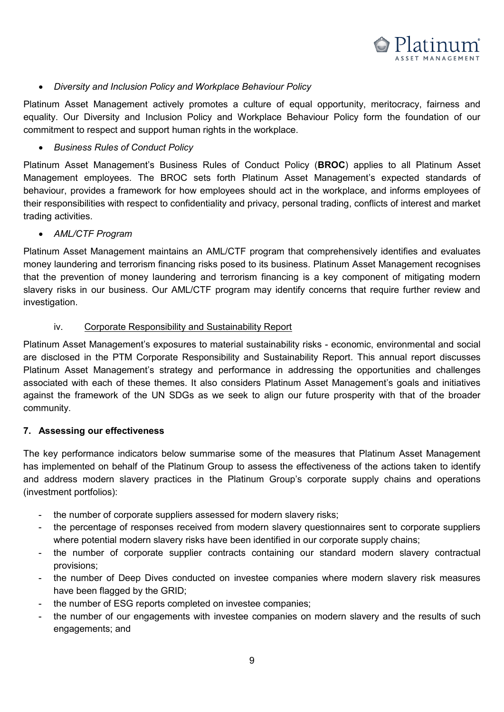

#### *Diversity and Inclusion Policy and Workplace Behaviour Policy*

Platinum Asset Management actively promotes a culture of equal opportunity, meritocracy, fairness and equality. Our Diversity and Inclusion Policy and Workplace Behaviour Policy form the foundation of our commitment to respect and support human rights in the workplace.

# **Business Rules of Conduct Policy**

Platinum Asset Management's Business Rules of Conduct Policy (BROC) applies to all Platinum Asset Management employees. The BROC sets forth Platinum Asset Management's expected standards of behaviour, provides a framework for how employees should act in the workplace, and informs employees of their responsibilities with respect to confidentiality and privacy, personal trading, conflicts of interest and market the irreding activities. The interespect to confidential trading, personal trading, confidential trading, confidential trading,  $\alpha$ 

# **AML/CTF Program**

Platinum Asset Management maintains an AML/CTF program that comprehensively identifies and evaluates money laundering and terrorism financing risks posed to its business. Platinum Asset Management recognises that the prevention of money laundering and terrorism financing is a key component of mitigating modern slavery risks in our business. Our AML/CTF program may identify concerns that require further review and investigation.  $s$  investigation. Our americans in our and  $\alpha$  and  $\alpha$  is a region of  $\alpha$  reprinting function  $\alpha$  and  $\alpha$  and  $\alpha$  and  $\alpha$  and  $\alpha$  and  $\alpha$  and  $\alpha$  and  $\alpha$  and  $\alpha$  and  $\alpha$  and  $\alpha$  and  $\alpha$  and  $\alpha$  and  $\alpha$  a

#### iv. Corporate Responsibility and Sustainability Report

Platinum Asset Management's exposures to material sustainability risks - economic, environmental and social are disclosed in the PTM Corporate Responsibility and Sustainability Report. This annual report discusses Platinum Asset Management's strategy and performance in addressing the opportunities and challenges associated with each of these themes. It also considers Platinum Asset Management's goals and initiatives against the framework of the UN SDGs as we seek to align our future prosperity with that of the broader community.  ${\sf community.}$ 

#### **7. Assessing our effectiveness**

The key performance indicators below summarise some of the measures that Platinum Asset Management has implemented on behalf of the Platinum Group to assess the effectiveness of the actions taken to identify and address modern slavery practices in the Platinum Group's corporate supply chains and operations (investment portfolios): which address modern slavery practices in the Platinum Group's corporate supply chains and operations and operations and operations and operations and operations and operations and operations and o

- the number of corporate suppliers assessed for modern slavery risks;
- the percentage of responses received from modern slavery questionnaires sent to corporate suppliers where potential modern slavery risks have been identified in our corporate supply chains;
- the number of corporate supplier contracts containing our standard modern slavery contractual provisions;  $\alpha$  provisions; containing our standard modern slavery containing our standard modern slavery contract use  $\alpha$
- the number of Deep Dives conducted on investee companies where modern slavery risk measures have been flagged by the GRID; the number of Dives conducted on invested on invested on investigation of the modern slavery risk measures where modern slavery risk measures where modern slavery risk measures where  $\alpha$
- the number of ESG reports completed on investee companies;
- the number of our engagements with investee companies on modern slavery and the results of such engagements; and the number of our engagements with invested companies on modern slavery and the results of such such and the results of such and the results of such and the results of such and the results of such and the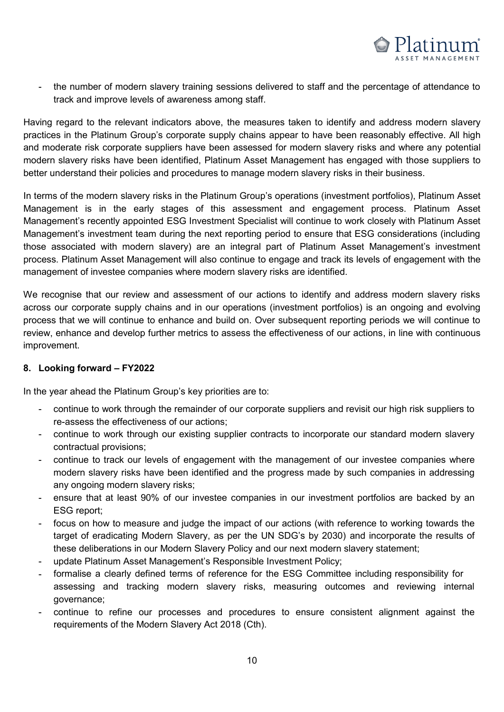

- the number of modern slavery training sessions delivered to staff and the percentage of attendance to track and improve levels of awareness among staff.

Having regard to the relevant indicators above, the measures taken to identify and address modern slavery practices in the Platinum Group's corporate supply chains appear to have been reasonably effective. All high and moderate risk corporate suppliers have been assessed for modern slavery risks and where any potential modern slavery risks have been identified, Platinum Asset Management has engaged with those suppliers to better understand their policies and procedures to manage modern slavery risks in their business. Having regard to the relevant indicators above, the measures taken to identify and address modern slave

In terms of the modern slavery risks in the Platinum Group's operations (investment portfolios), Platinum Asset Management is in the early stages of this assessment and engagement process. Platinum Asset Management's recently appointed ESG Investment Specialist will continue to work closely with Platinum Asset Management's investment team during the next reporting period to ensure that ESG considerations (including those associated with modern slavery) are an integral part of Platinum Asset Management's investment process. Platinum Asset Management will also continue to engage and track its levels of engagement with the management of investee companies where modern slavery risks are identified. In terms of the modern slavery risks in the Platinum Group's operations (investment portfolios), Platinum Ass

We recognise that our review and assessment of our actions to identify and address modern slavery risks across our corporate supply chains and in our operations (investment portfolios) is an ongoing and evolving process that we will continue to enhance and build on. Over subsequent reporting periods we will continue to review, enhance and develop further metrics to assess the effectiveness of our actions, in line with continuous improvement. improvement. improvement. review, enhance and develop further metrics the effectiveness the effectiveness of our actions, in line with continuous of our actions, in line with continuous of our actions, in line with continuous of our actions, in lin We recognise that our review and assessment of our actions to identify and address modern slavery risl

#### **8. Looking forward – FY2022 8. Looking forward – FY20**

In the year ahead the Platinum Group's key priorities are to: **8. Looking forward – FY2022** In the year ahead the Platinum Group's key priorities are t

- continue to work through the remainder of our corporate suppliers and revisit our high risk suppliers to re-assess the effectiveness of our actions; many contracts are also as a set of the set of the set of the set o
- continue to work through our existing supplier contracts to incorporate our standard modern slavery contractual provisions; existing supplier contracts to incorporate our standard modern slavery supplier contract our standard modern slavery our standard modern slavery  $\alpha$
- continue to track our levels of engagement with the management of our investee companies where modern slavery risks have been identified and the progress made by such companies in addressing any ongoing modern slavery risks; and the progressing and the progressing made by such companies in addressing o
- ensure that at least 90% of our investee companies in our investment portfolios are backed by an ESG report; ESG report; ESG report;  $\text{ESG report};$
- focus on how to measure and judge the impact of our actions (with reference to working towards the target of eradicating Modern Slavery, as per the UN SDG's by 2030) and incorporate the results of these deliberations in our Modern Slavery Policy and our next modern slavery statement;
- update Platinum Asset Management's Responsible Investment Policy;
- formalise a clearly defined terms of reference for the ESG Committee including responsibility for assessing and tracking modern slavery risks, measuring outcomes and reviewing internal governance; governance; governance; assessing and tracking modern slavery risks, measuring outcomes and reviewing internal reviewing internal reviewing internal reviewing internal reviewing internal reviewing internal reviewing internal reviewing internal re
- continue to refine our processes and procedures to ensure consistent alignment against the requirements of the Modern Slavery Act 2018 (Cth).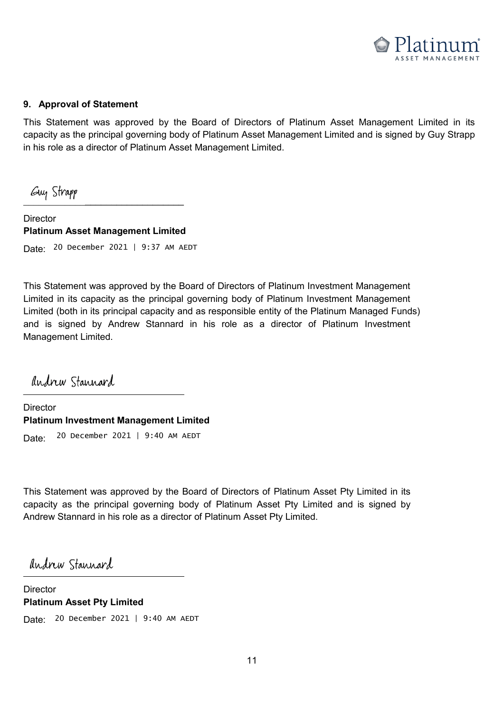

#### **9. Approval of Statement 9. Approval of Statement**

This Statement was approved by the Board of Directors of Platinum Asset Management Limited in its capacity as the principal governing body of Platinum Asset Management Limited and is signed by Guy Strapp in his role as a director of Platinum Asset Management Limited.

\_\_\_\_\_\_\_\_\_\_\_\_\_\_\_\_\_\_\_\_\_\_\_\_\_\_\_\_\_\_\_ \_\_\_\_\_\_\_\_\_\_\_\_\_\_\_\_\_\_\_\_\_\_\_\_\_\_\_\_\_\_\_

Director \_\_\_\_\_\_\_\_\_\_\_\_\_\_\_\_\_\_\_\_\_\_\_\_\_\_\_\_\_\_\_ Director **Platinum Asset Management Limited** Director **Platinum Asset Management Limited** Date: <sup>20</sup> December 2021 | 9:37 AM AEDT

This Statement was approved by the Board of Directors of Platinum Investment Management This Statement was approved by the Board of Directors of Platinum Investment Management Limited in its capacity as the principal governing body of Platinum Investment Management Limited (both in its principal capacity and as responsible entity of the Platinum Managed Funds) and is signed by Andrew Stannard in his role as a director of Platinum Investment Management Limited. Andrew Standard in his role as a director of Platinum Investment of Platinum Investment of P

andrew Stannard  $\overline{\phantom{a}}$  $\overline{\phantom{a}}$ 

Director \_\_\_\_\_\_\_\_\_\_\_\_\_\_\_\_\_\_\_\_\_\_\_\_\_\_\_\_\_\_\_ Director **Platinum Investment Management Limited** Director **Platinum Investment Management Limited** Date: Date: Date: 20 December 2021 | 9:40 AM AEDT

This Statement was approved by the Board of Directors of Platinum Asset Pty Limited in its This Statement was approved by the Board of Directors of Platinum Asset Pty Limited in its capacity as the principal governing body of Platinum Asset Pty Limited and is signed by Andrew Stannard in his role as a director of Platinum Asset Pty Limited.

 $\sum_{i=1}^{n}$  $\overline{\phantom{a}}$ 

Director \_\_\_\_\_\_\_\_\_\_\_\_\_\_\_\_\_\_\_\_\_\_\_\_\_\_\_\_\_\_\_ Director **Platinum Asset Pty Limited**  Director **Platinum Asset Pty Limited**  Date: 20 December 2021 | 9:40 AM AEDT **Platinum Asset Pty Limited**  Date: 20 December 2021 | 9:40 AM AEDT